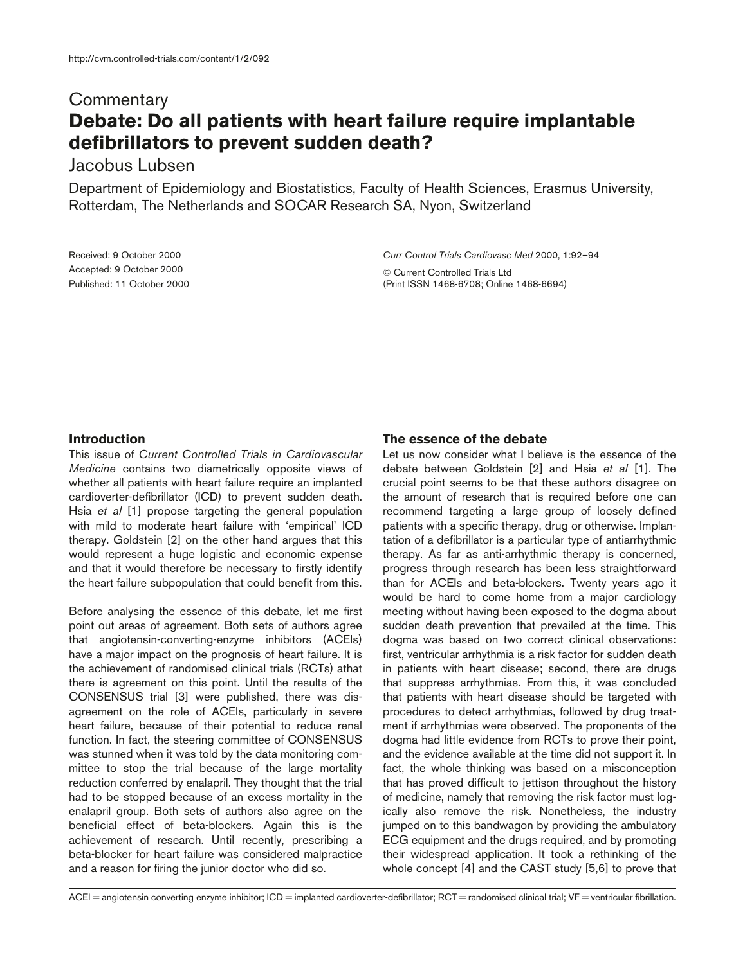# **Commentary Debate: Do all patients with heart failure require implantable defibrillators to prevent sudden death?**

## Jacobus Lubsen

Department of Epidemiology and Biostatistics, Faculty of Health Sciences, Erasmus University, Rotterdam, The Netherlands and SOCAR Research SA, Nyon, Switzerland

Received: 9 October 2000 Accepted: 9 October 2000 Published: 11 October 2000 *Curr Control Trials Cardiovasc Med* 2000, **1**:92–94

© Current Controlled Trials Ltd (Print ISSN 1468-6708; Online 1468-6694)

### **Introduction**

This issue of *Current Controlled Trials in Cardiovascular Medicine* contains two diametrically opposite views of whether all patients with heart failure require an implanted cardioverter-defibrillator (ICD) to prevent sudden death. Hsia *et al* [1] propose targeting the general population with mild to moderate heart failure with 'empirical' ICD therapy. Goldstein [2] on the other hand argues that this would represent a huge logistic and economic expense and that it would therefore be necessary to firstly identify the heart failure subpopulation that could benefit from this.

Before analysing the essence of this debate, let me first point out areas of agreement. Both sets of authors agree that angiotensin-converting-enzyme inhibitors (ACEIs) have a major impact on the prognosis of heart failure. It is the achievement of randomised clinical trials (RCTs) athat there is agreement on this point. Until the results of the CONSENSUS trial [3] were published, there was disagreement on the role of ACEIs, particularly in severe heart failure, because of their potential to reduce renal function. In fact, the steering committee of CONSENSUS was stunned when it was told by the data monitoring committee to stop the trial because of the large mortality reduction conferred by enalapril. They thought that the trial had to be stopped because of an excess mortality in the enalapril group. Both sets of authors also agree on the beneficial effect of beta-blockers. Again this is the achievement of research. Until recently, prescribing a beta-blocker for heart failure was considered malpractice and a reason for firing the junior doctor who did so.

### **The essence of the debate**

Let us now consider what I believe is the essence of the debate between Goldstein [2] and Hsia *et al* [1]. The crucial point seems to be that these authors disagree on the amount of research that is required before one can recommend targeting a large group of loosely defined patients with a specific therapy, drug or otherwise. Implantation of a defibrillator is a particular type of antiarrhythmic therapy. As far as anti-arrhythmic therapy is concerned, progress through research has been less straightforward than for ACEIs and beta-blockers. Twenty years ago it would be hard to come home from a major cardiology meeting without having been exposed to the dogma about sudden death prevention that prevailed at the time. This dogma was based on two correct clinical observations: first, ventricular arrhythmia is a risk factor for sudden death in patients with heart disease; second, there are drugs that suppress arrhythmias. From this, it was concluded that patients with heart disease should be targeted with procedures to detect arrhythmias, followed by drug treatment if arrhythmias were observed. The proponents of the dogma had little evidence from RCTs to prove their point, and the evidence available at the time did not support it. In fact, the whole thinking was based on a misconception that has proved difficult to jettison throughout the history of medicine, namely that removing the risk factor must logically also remove the risk. Nonetheless, the industry jumped on to this bandwagon by providing the ambulatory ECG equipment and the drugs required, and by promoting their widespread application. It took a rethinking of the whole concept [4] and the CAST study [5,6] to prove that

ACEI = angiotensin converting enzyme inhibitor; ICD = implanted cardioverter-defibrillator; RCT = randomised clinical trial; VF = ventricular fibrillation.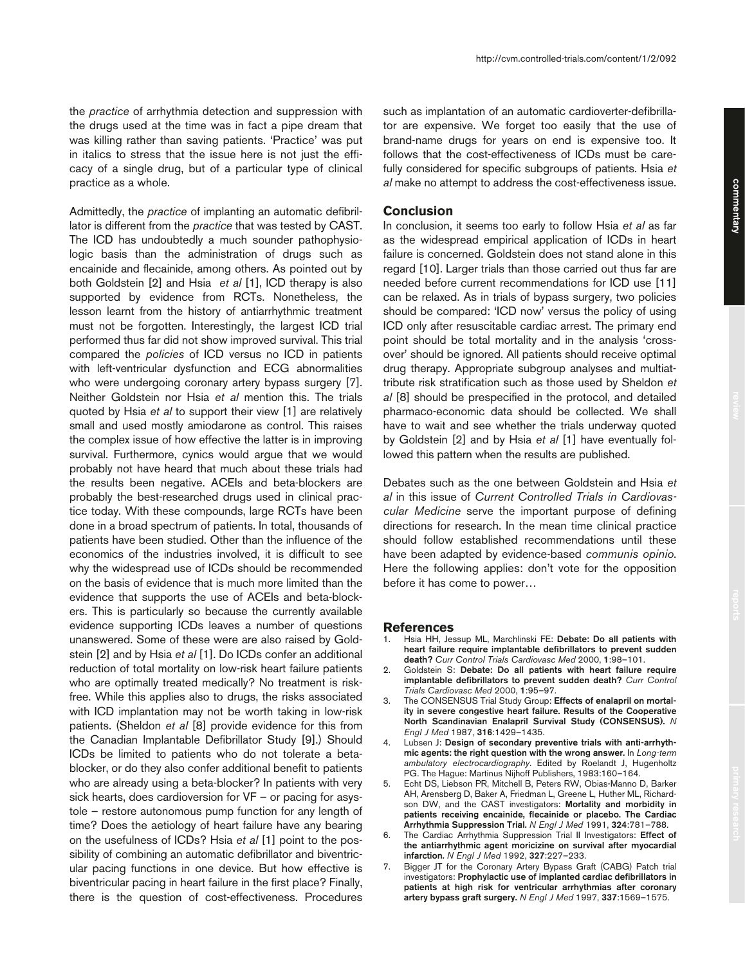the *practice* of arrhythmia detection and suppression with the drugs used at the time was in fact a pipe dream that was killing rather than saving patients. 'Practice' was put in italics to stress that the issue here is not just the efficacy of a single drug, but of a particular type of clinical practice as a whole.

Admittedly, the *practice* of implanting an automatic defibrillator is different from the *practice* that was tested by CAST. The ICD has undoubtedly a much sounder pathophysiologic basis than the administration of drugs such as encainide and flecainide, among others. As pointed out by both Goldstein [2] and Hsia *et al* [1], ICD therapy is also supported by evidence from RCTs. Nonetheless, the lesson learnt from the history of antiarrhythmic treatment must not be forgotten. Interestingly, the largest ICD trial performed thus far did not show improved survival. This trial compared the *policies* of ICD versus no ICD in patients with left-ventricular dysfunction and ECG abnormalities who were undergoing coronary artery bypass surgery [7]. Neither Goldstein nor Hsia *et al* mention this. The trials quoted by Hsia *et al* to support their view [1] are relatively small and used mostly amiodarone as control. This raises the complex issue of how effective the latter is in improving survival. Furthermore, cynics would argue that we would probably not have heard that much about these trials had the results been negative. ACEIs and beta-blockers are probably the best-researched drugs used in clinical practice today. With these compounds, large RCTs have been done in a broad spectrum of patients. In total, thousands of patients have been studied. Other than the influence of the economics of the industries involved, it is difficult to see why the widespread use of ICDs should be recommended on the basis of evidence that is much more limited than the evidence that supports the use of ACEIs and beta-blockers. This is particularly so because the currently available evidence supporting ICDs leaves a number of questions unanswered. Some of these were are also raised by Goldstein [2] and by Hsia *et al* [1]. Do ICDs confer an additional reduction of total mortality on low-risk heart failure patients who are optimally treated medically? No treatment is riskfree. While this applies also to drugs, the risks associated with ICD implantation may not be worth taking in low-risk patients. (Sheldon *et al* [8] provide evidence for this from the Canadian Implantable Defibrillator Study [9].) Should ICDs be limited to patients who do not tolerate a betablocker, or do they also confer additional benefit to patients who are already using a beta-blocker? In patients with very sick hearts, does cardioversion for VF – or pacing for asystole – restore autonomous pump function for any length of time? Does the aetiology of heart failure have any bearing on the usefulness of ICDs? Hsia *et al* [1] point to the possibility of combining an automatic defibrillator and biventricular pacing functions in one device. But how effective is biventricular pacing in heart failure in the first place? Finally, there is the question of cost-effectiveness. Procedures

#### **Conclusion**

In conclusion, it seems too early to follow Hsia *et al* as far as the widespread empirical application of ICDs in heart failure is concerned. Goldstein does not stand alone in this regard [10]. Larger trials than those carried out thus far are needed before current recommendations for ICD use [11] can be relaxed. As in trials of bypass surgery, two policies should be compared: 'ICD now' versus the policy of using ICD only after resuscitable cardiac arrest. The primary end point should be total mortality and in the analysis 'crossover' should be ignored. All patients should receive optimal drug therapy. Appropriate subgroup analyses and multiattribute risk stratification such as those used by Sheldon *et al* [8] should be prespecified in the protocol, and detailed pharmaco-economic data should be collected. We shall have to wait and see whether the trials underway quoted by Goldstein [2] and by Hsia *et al* [1] have eventually followed this pattern when the results are published.

Debates such as the one between Goldstein and Hsia *et al* in this issue of *Current Controlled Trials in Cardiovascular Medicine* serve the important purpose of defining directions for research. In the mean time clinical practice should follow established recommendations until these have been adapted by evidence-based *communis opinio*. Here the following applies: don't vote for the opposition before it has come to power…

#### **References**

- 1. Hsia HH, Jessup ML, Marchlinski FE: **Debate: Do all patients with heart failure require implantable defibrillators to prevent sudden death?** *Curr Control Trials Cardiovasc Med* 2000, **1**:98–101.
- 2. Goldstein S: **Debate: Do all patients with heart failure require implantable defibrillators to prevent sudden death?** *Curr Control Trials Cardiovasc Med* 2000, **1**:95–97.
- 3. The CONSENSUS Trial Study Group: **Effects of enalapril on mortality in severe congestive heart failure. Results of the Cooperative North Scandinavian Enalapril Survival Study (CONSENSUS).** *N Engl J Med* 1987, **316**:1429–1435.
- 4. Lubsen J: **Design of secondary preventive trials with anti-arrhythmic agents: the right question with the wrong answer.** In *Long-term ambulatory electrocardiography*. Edited by Roelandt J, Hugenholtz PG. The Hague: Martinus Nijhoff Publishers, 1983:160–164.
- 5. Echt DS, Liebson PR, Mitchell B, Peters RW, Obias-Manno D, Barker AH, Arensberg D, Baker A, Friedman L, Greene L, Huther ML, Richardson DW, and the CAST investigators: **Mortality and morbidity in patients receiving encainide, flecainide or placebo. The Cardiac Arrhythmia Suppression Trial.** *N Engl J Med* 1991, **324**:781–788.
- 6. The Cardiac Arrhythmia Suppression Trial II Investigators: **Effect of the antiarrhythmic agent moricizine on survival after myocardial infarction.** *N Engl J Med* 1992, **327**:227–233.
- 7. Bigger JT for the Coronary Artery Bypass Graft (CABG) Patch trial investigators: **Prophylactic use of implanted cardiac defibrillators in patients at high risk for ventricular arrhythmias after coronary artery bypass graft surgery.** *N Engl J Med* 1997, **337**:1569–1575.